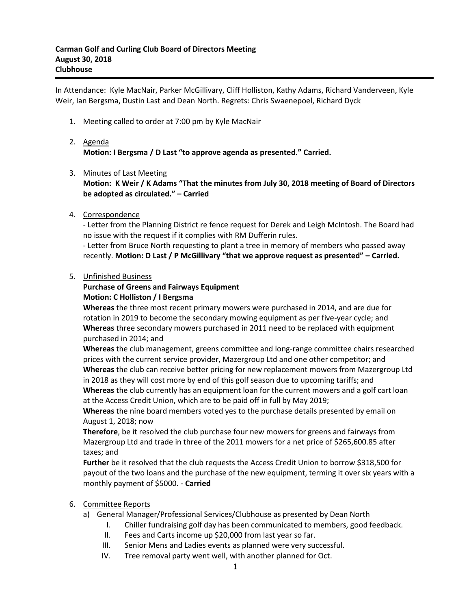In Attendance: Kyle MacNair, Parker McGillivary, Cliff Holliston, Kathy Adams, Richard Vanderveen, Kyle Weir, Ian Bergsma, Dustin Last and Dean North. Regrets: Chris Swaenepoel, Richard Dyck

1. Meeting called to order at 7:00 pm by Kyle MacNair

# 2. Agenda **Motion: I Bergsma / D Last "to approve agenda as presented." Carried.**

## 3. Minutes of Last Meeting

**Motion: K Weir / K Adams "That the minutes from July 30, 2018 meeting of Board of Directors be adopted as circulated." – Carried**

4. Correspondence

- Letter from the Planning District re fence request for Derek and Leigh McIntosh. The Board had no issue with the request if it complies with RM Dufferin rules.

- Letter from Bruce North requesting to plant a tree in memory of members who passed away recently. **Motion: D Last / P McGillivary "that we approve request as presented" – Carried.**

#### 5. Unfinished Business

### **Purchase of Greens and Fairways Equipment Motion: C Holliston / I Bergsma**

**Whereas** the three most recent primary mowers were purchased in 2014, and are due for rotation in 2019 to become the secondary mowing equipment as per five-year cycle; and **Whereas** three secondary mowers purchased in 2011 need to be replaced with equipment purchased in 2014; and

**Whereas** the club management, greens committee and long-range committee chairs researched prices with the current service provider, Mazergroup Ltd and one other competitor; and **Whereas** the club can receive better pricing for new replacement mowers from Mazergroup Ltd in 2018 as they will cost more by end of this golf season due to upcoming tariffs; and

**Whereas** the club currently has an equipment loan for the current mowers and a golf cart loan at the Access Credit Union, which are to be paid off in full by May 2019;

**Whereas** the nine board members voted yes to the purchase details presented by email on August 1, 2018; now

**Therefore**, be it resolved the club purchase four new mowers for greens and fairways from Mazergroup Ltd and trade in three of the 2011 mowers for a net price of \$265,600.85 after taxes; and

**Further** be it resolved that the club requests the Access Credit Union to borrow \$318,500 for payout of the two loans and the purchase of the new equipment, terming it over six years with a monthly payment of \$5000. - **Carried**

## 6. Committee Reports

- a) General Manager/Professional Services/Clubhouse as presented by Dean North
	- I. Chiller fundraising golf day has been communicated to members, good feedback.
	- II. Fees and Carts income up \$20,000 from last year so far.
	- III. Senior Mens and Ladies events as planned were very successful.
	- IV. Tree removal party went well, with another planned for Oct.